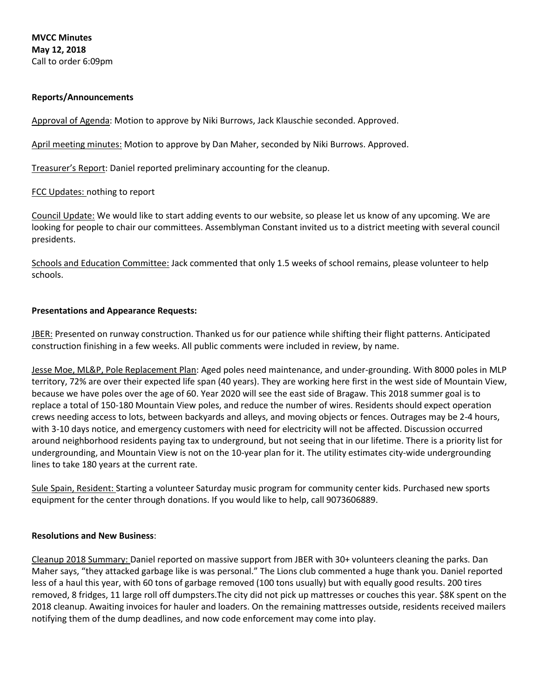**MVCC Minutes May 12, 2018** Call to order 6:09pm

## **Reports/Announcements**

Approval of Agenda: Motion to approve by Niki Burrows, Jack Klauschie seconded. Approved.

April meeting minutes: Motion to approve by Dan Maher, seconded by Niki Burrows. Approved.

Treasurer's Report: Daniel reported preliminary accounting for the cleanup.

## FCC Updates: nothing to report

Council Update: We would like to start adding events to our website, so please let us know of any upcoming. We are looking for people to chair our committees. Assemblyman Constant invited us to a district meeting with several council presidents.

Schools and Education Committee: Jack commented that only 1.5 weeks of school remains, please volunteer to help schools.

### **Presentations and Appearance Requests:**

JBER: Presented on runway construction. Thanked us for our patience while shifting their flight patterns. Anticipated construction finishing in a few weeks. All public comments were included in review, by name.

Jesse Moe, ML&P, Pole Replacement Plan: Aged poles need maintenance, and under-grounding. With 8000 poles in MLP territory, 72% are over their expected life span (40 years). They are working here first in the west side of Mountain View, because we have poles over the age of 60. Year 2020 will see the east side of Bragaw. This 2018 summer goal is to replace a total of 150-180 Mountain View poles, and reduce the number of wires. Residents should expect operation crews needing access to lots, between backyards and alleys, and moving objects or fences. Outrages may be 2-4 hours, with 3-10 days notice, and emergency customers with need for electricity will not be affected. Discussion occurred around neighborhood residents paying tax to underground, but not seeing that in our lifetime. There is a priority list for undergrounding, and Mountain View is not on the 10-year plan for it. The utility estimates city-wide undergrounding lines to take 180 years at the current rate.

Sule Spain, Resident: Starting a volunteer Saturday music program for community center kids. Purchased new sports equipment for the center through donations. If you would like to help, call 9073606889.

### **Resolutions and New Business**:

Cleanup 2018 Summary: Daniel reported on massive support from JBER with 30+ volunteers cleaning the parks. Dan Maher says, "they attacked garbage like is was personal." The Lions club commented a huge thank you. Daniel reported less of a haul this year, with 60 tons of garbage removed (100 tons usually) but with equally good results. 200 tires removed, 8 fridges, 11 large roll off dumpsters.The city did not pick up mattresses or couches this year. \$8K spent on the 2018 cleanup. Awaiting invoices for hauler and loaders. On the remaining mattresses outside, residents received mailers notifying them of the dump deadlines, and now code enforcement may come into play.